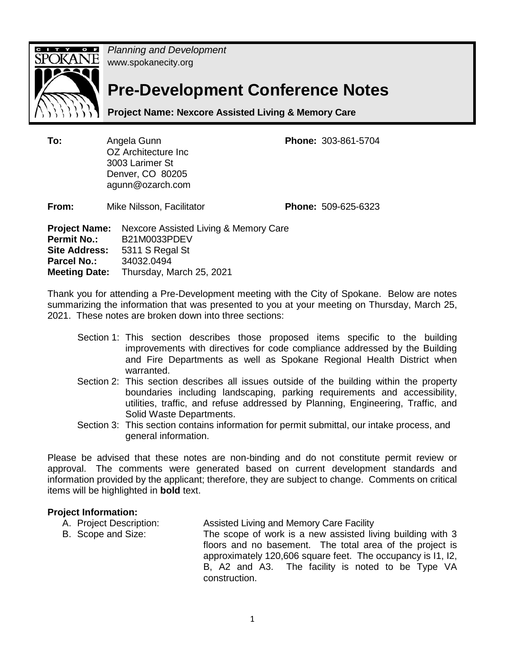

*Planning and Development*  www.spokanecity.org

# **Pre-Development Conference Notes**

**Project Name: Nexcore Assisted Living & Memory Care** 

**To:** Angela Gunn **Phone:** 303-861-5704 OZ Architecture Inc 3003 Larimer St Denver, CO 80205 agunn@ozarch.com

**From:** Mike Nilsson, Facilitator **Phone:** 509-625-6323

**Project Name:** Nexcore Assisted Living & Memory Care **Permit No.:** B21M0033PDEV **Site Address:** 5311 S Regal St **Parcel No.:** 34032.0494 **Meeting Date:** Thursday, March 25, 2021

Thank you for attending a Pre-Development meeting with the City of Spokane. Below are notes summarizing the information that was presented to you at your meeting on Thursday, March 25, 2021. These notes are broken down into three sections:

- Section 1: This section describes those proposed items specific to the building improvements with directives for code compliance addressed by the Building and Fire Departments as well as Spokane Regional Health District when warranted.
- Section 2: This section describes all issues outside of the building within the property boundaries including landscaping, parking requirements and accessibility, utilities, traffic, and refuse addressed by Planning, Engineering, Traffic, and Solid Waste Departments.
- Section 3: This section contains information for permit submittal, our intake process, and general information.

Please be advised that these notes are non-binding and do not constitute permit review or approval. The comments were generated based on current development standards and information provided by the applicant; therefore, they are subject to change. Comments on critical items will be highlighted in **bold** text.

#### **Project Information:**

- A. Project Description: Assisted Living and Memory Care Facility
- B. Scope and Size: The scope of work is a new assisted living building with 3 floors and no basement. The total area of the project is approximately 120,606 square feet. The occupancy is I1, I2, B, A2 and A3. The facility is noted to be Type VA construction.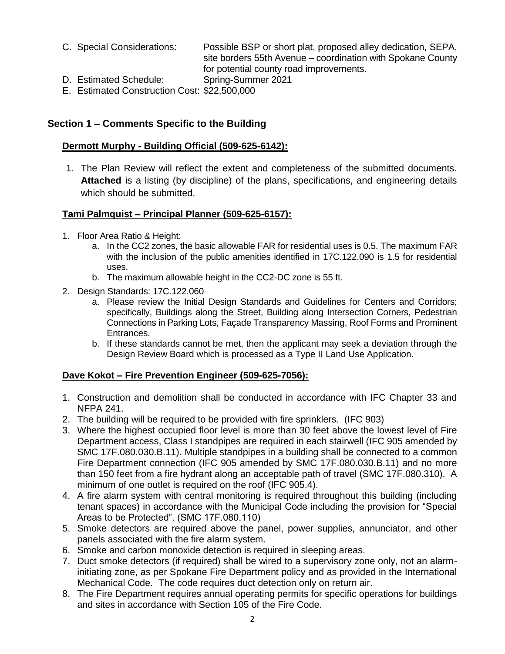- C. Special Considerations: Possible BSP or short plat, proposed alley dedication, SEPA, site borders 55th Avenue – coordination with Spokane County for potential county road improvements.
- D. Estimated Schedule: Spring-Summer 2021
- E. Estimated Construction Cost: \$22,500,000

# **Section 1 – Comments Specific to the Building**

## **Dermott Murphy - Building Official (509-625-6142):**

1. The Plan Review will reflect the extent and completeness of the submitted documents. **Attached** is a listing (by discipline) of the plans, specifications, and engineering details which should be submitted.

# **Tami Palmquist – Principal Planner (509-625-6157):**

- 1. Floor Area Ratio & Height:
	- a. In the CC2 zones, the basic allowable FAR for residential uses is 0.5. The maximum FAR with the inclusion of the public amenities identified in 17C.122.090 is 1.5 for residential uses.
	- b. The maximum allowable height in the CC2-DC zone is 55 ft.
- 2. Design Standards: 17C.122.060
	- a. Please review the Initial Design Standards and Guidelines for Centers and Corridors; specifically, Buildings along the Street, Building along Intersection Corners, Pedestrian Connections in Parking Lots, Façade Transparency Massing, Roof Forms and Prominent Entrances.
	- b. If these standards cannot be met, then the applicant may seek a deviation through the Design Review Board which is processed as a Type II Land Use Application.

# **Dave Kokot – Fire Prevention Engineer (509-625-7056):**

- 1. Construction and demolition shall be conducted in accordance with IFC Chapter 33 and NFPA 241.
- 2. The building will be required to be provided with fire sprinklers. (IFC 903)
- 3. Where the highest occupied floor level is more than 30 feet above the lowest level of Fire Department access, Class I standpipes are required in each stairwell (IFC 905 amended by SMC 17F.080.030.B.11). Multiple standpipes in a building shall be connected to a common Fire Department connection (IFC 905 amended by SMC 17F.080.030.B.11) and no more than 150 feet from a fire hydrant along an acceptable path of travel (SMC 17F.080.310). A minimum of one outlet is required on the roof (IFC 905.4).
- 4. A fire alarm system with central monitoring is required throughout this building (including tenant spaces) in accordance with the Municipal Code including the provision for "Special Areas to be Protected". (SMC 17F.080.110)
- 5. Smoke detectors are required above the panel, power supplies, annunciator, and other panels associated with the fire alarm system.
- 6. Smoke and carbon monoxide detection is required in sleeping areas.
- 7. Duct smoke detectors (if required) shall be wired to a supervisory zone only, not an alarminitiating zone, as per Spokane Fire Department policy and as provided in the International Mechanical Code. The code requires duct detection only on return air.
- 8. The Fire Department requires annual operating permits for specific operations for buildings and sites in accordance with Section 105 of the Fire Code.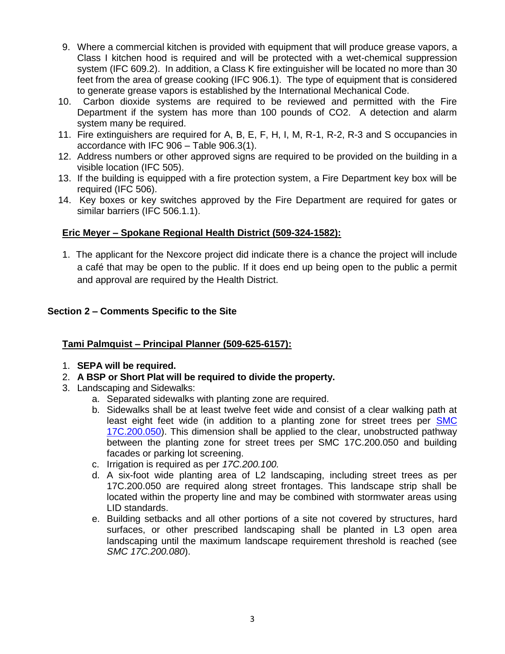- 9. Where a commercial kitchen is provided with equipment that will produce grease vapors, a Class I kitchen hood is required and will be protected with a wet-chemical suppression system (IFC 609.2). In addition, a Class K fire extinguisher will be located no more than 30 feet from the area of grease cooking (IFC 906.1). The type of equipment that is considered to generate grease vapors is established by the International Mechanical Code.
- 10. Carbon dioxide systems are required to be reviewed and permitted with the Fire Department if the system has more than 100 pounds of CO2. A detection and alarm system many be required.
- 11. Fire extinguishers are required for A, B, E, F, H, I, M, R-1, R-2, R-3 and S occupancies in accordance with IFC 906 – Table 906.3(1).
- 12. Address numbers or other approved signs are required to be provided on the building in a visible location (IFC 505).
- 13. If the building is equipped with a fire protection system, a Fire Department key box will be required (IFC 506).
- 14. Key boxes or key switches approved by the Fire Department are required for gates or similar barriers (IFC 506.1.1).

# **Eric Meyer – Spokane Regional Health District (509-324-1582):**

1. The applicant for the Nexcore project did indicate there is a chance the project will include a café that may be open to the public. If it does end up being open to the public a permit and approval are required by the Health District.

## **Section 2 – Comments Specific to the Site**

# **Tami Palmquist – Principal Planner (509-625-6157):**

- 1. **SEPA will be required.**
- 2. **A BSP or Short Plat will be required to divide the property.**
- 3. Landscaping and Sidewalks:
	- a. Separated sidewalks with planting zone are required.
	- b. Sidewalks shall be at least twelve feet wide and consist of a clear walking path at least eight feet wide (in addition to a planting zone for street trees per [SMC](http://my.spokanecity.org/smc/?Section=17C.200.050)  [17C.200.050\)](http://my.spokanecity.org/smc/?Section=17C.200.050). This dimension shall be applied to the clear, unobstructed pathway between the planting zone for street trees per SMC 17C.200.050 and building facades or parking lot screening.
	- c. Irrigation is required as per *17C.200.100.*
	- d. A six-foot wide planting area of L2 landscaping, including street trees as per 17C.200.050 are required along street frontages. This landscape strip shall be located within the property line and may be combined with stormwater areas using LID standards.
	- e. Building setbacks and all other portions of a site not covered by structures, hard surfaces, or other prescribed landscaping shall be planted in L3 open area landscaping until the maximum landscape requirement threshold is reached (see *SMC 17C.200.080*).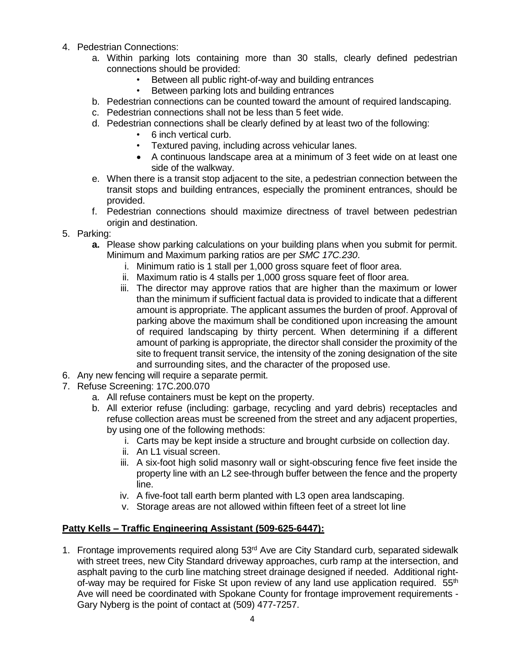- 4. Pedestrian Connections:
	- a. Within parking lots containing more than 30 stalls, clearly defined pedestrian connections should be provided:
		- Between all public right-of-way and building entrances
		- Between parking lots and building entrances
	- b. Pedestrian connections can be counted toward the amount of required landscaping.
	- c. Pedestrian connections shall not be less than 5 feet wide.
	- d. Pedestrian connections shall be clearly defined by at least two of the following:
		- 6 inch vertical curb.
		- Textured paving, including across vehicular lanes.
		- A continuous landscape area at a minimum of 3 feet wide on at least one side of the walkway.
	- e. When there is a transit stop adjacent to the site, a pedestrian connection between the transit stops and building entrances, especially the prominent entrances, should be provided.
	- f. Pedestrian connections should maximize directness of travel between pedestrian origin and destination.
- 5. Parking:
	- **a.** Please show parking calculations on your building plans when you submit for permit. Minimum and Maximum parking ratios are per *SMC 17C.230*.
		- i. Minimum ratio is 1 stall per 1,000 gross square feet of floor area.
		- ii. Maximum ratio is 4 stalls per 1,000 gross square feet of floor area.
		- iii. The director may approve ratios that are higher than the maximum or lower than the minimum if sufficient factual data is provided to indicate that a different amount is appropriate. The applicant assumes the burden of proof. Approval of parking above the maximum shall be conditioned upon increasing the amount of required landscaping by thirty percent. When determining if a different amount of parking is appropriate, the director shall consider the proximity of the site to frequent transit service, the intensity of the zoning designation of the site and surrounding sites, and the character of the proposed use.
- 6. Any new fencing will require a separate permit.
- 7. Refuse Screening: 17C.200.070
	- a. All refuse containers must be kept on the property.
	- b. All exterior refuse (including: garbage, recycling and yard debris) receptacles and refuse collection areas must be screened from the street and any adjacent properties, by using one of the following methods:
		- i. Carts may be kept inside a structure and brought curbside on collection day.
		- ii. An L1 visual screen.
		- iii. A six-foot high solid masonry wall or sight-obscuring fence five feet inside the property line with an L2 see-through buffer between the fence and the property line.
		- iv. A five-foot tall earth berm planted with L3 open area landscaping.
		- v. Storage areas are not allowed within fifteen feet of a street lot line

# **Patty Kells – Traffic Engineering Assistant (509-625-6447):**

1. Frontage improvements required along 53<sup>rd</sup> Ave are City Standard curb, separated sidewalk with street trees, new City Standard driveway approaches, curb ramp at the intersection, and asphalt paving to the curb line matching street drainage designed if needed. Additional rightof-way may be required for Fiske St upon review of any land use application required. 55<sup>th</sup> Ave will need be coordinated with Spokane County for frontage improvement requirements - Gary Nyberg is the point of contact at (509) 477-7257.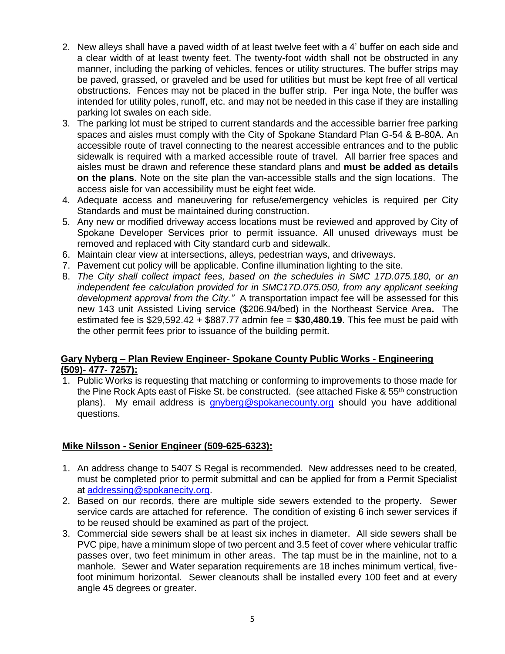- 2. New alleys shall have a paved width of at least twelve feet with a 4' buffer on each side and a clear width of at least twenty feet. The twenty-foot width shall not be obstructed in any manner, including the parking of vehicles, fences or utility structures. The buffer strips may be paved, grassed, or graveled and be used for utilities but must be kept free of all vertical obstructions. Fences may not be placed in the buffer strip. Per inga Note, the buffer was intended for utility poles, runoff, etc. and may not be needed in this case if they are installing parking lot swales on each side.
- 3. The parking lot must be striped to current standards and the accessible barrier free parking spaces and aisles must comply with the City of Spokane Standard Plan G-54 & B-80A. An accessible route of travel connecting to the nearest accessible entrances and to the public sidewalk is required with a marked accessible route of travel. All barrier free spaces and aisles must be drawn and reference these standard plans and **must be added as details on the plans**. Note on the site plan the van-accessible stalls and the sign locations. The access aisle for van accessibility must be eight feet wide.
- 4. Adequate access and maneuvering for refuse/emergency vehicles is required per City Standards and must be maintained during construction.
- 5. Any new or modified driveway access locations must be reviewed and approved by City of Spokane Developer Services prior to permit issuance. All unused driveways must be removed and replaced with City standard curb and sidewalk.
- 6. Maintain clear view at intersections, alleys, pedestrian ways, and driveways.
- 7. Pavement cut policy will be applicable. Confine illumination lighting to the site.
- 8. *The City shall collect impact fees, based on the schedules in SMC 17D.075.180, or an independent fee calculation provided for in SMC17D.075.050, from any applicant seeking development approval from the City."* A transportation impact fee will be assessed for this new 143 unit Assisted Living service (\$206.94/bed) in the Northeast Service Area**.** The estimated fee is \$29,592.42 + \$887.77 admin fee = **\$30,480.19**. This fee must be paid with the other permit fees prior to issuance of the building permit.

## **Gary Nyberg – Plan Review Engineer- Spokane County Public Works - Engineering (509)- 477- 7257):**

1. Public Works is requesting that matching or conforming to improvements to those made for the Pine Rock Apts east of Fiske St. be constructed. (see attached Fiske & 55<sup>th</sup> construction plans). My email address is *[gnyberg@spokanecounty.org](mailto:gnyberg@spokanecounty.org)* should you have additional questions.

#### **Mike Nilsson - Senior Engineer (509-625-6323):**

- 1. An address change to 5407 S Regal is recommended. New addresses need to be created, must be completed prior to permit submittal and can be applied for from a Permit Specialist at [addressing@spokanecity.org.](mailto:addressing@spokanecity.org)
- 2. Based on our records, there are multiple side sewers extended to the property. Sewer service cards are attached for reference. The condition of existing 6 inch sewer services if to be reused should be examined as part of the project.
- 3. Commercial side sewers shall be at least six inches in diameter. All side sewers shall be PVC pipe, have a minimum slope of two percent and 3.5 feet of cover where vehicular traffic passes over, two feet minimum in other areas. The tap must be in the mainline, not to a manhole. Sewer and Water separation requirements are 18 inches minimum vertical, fivefoot minimum horizontal. Sewer cleanouts shall be installed every 100 feet and at every angle 45 degrees or greater.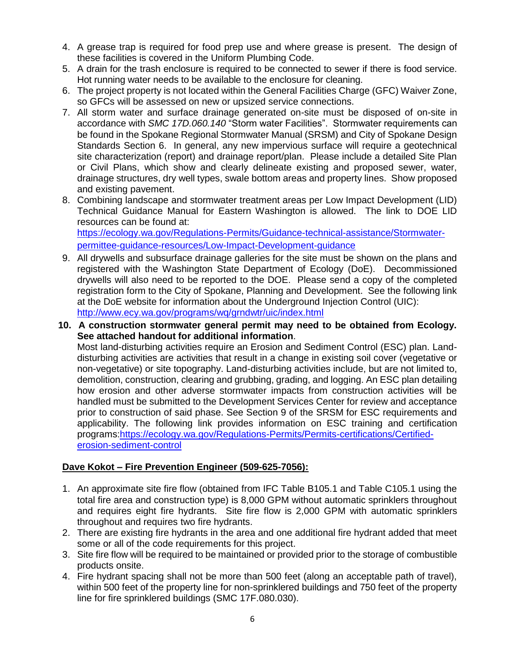- 4. A grease trap is required for food prep use and where grease is present. The design of these facilities is covered in the Uniform Plumbing Code.
- 5. A drain for the trash enclosure is required to be connected to sewer if there is food service. Hot running water needs to be available to the enclosure for cleaning.
- 6. The project property is not located within the General Facilities Charge (GFC) Waiver Zone, so GFCs will be assessed on new or upsized service connections.
- 7. All storm water and surface drainage generated on-site must be disposed of on-site in accordance with *SMC 17D.060.140* "Storm water Facilities". Stormwater requirements can be found in the Spokane Regional Stormwater Manual (SRSM) and City of Spokane Design Standards Section 6. In general, any new impervious surface will require a geotechnical site characterization (report) and drainage report/plan. Please include a detailed Site Plan or Civil Plans, which show and clearly delineate existing and proposed sewer, water, drainage structures, dry well types, swale bottom areas and property lines. Show proposed and existing pavement.
- 8. Combining landscape and stormwater treatment areas per Low Impact Development (LID) Technical Guidance Manual for Eastern Washington is allowed. The link to DOE LID resources can be found at:

[https://ecology.wa.gov/Regulations-Permits/Guidance-technical-assistance/Stormwater](https://ecology.wa.gov/Regulations-Permits/Guidance-technical-assistance/Stormwater-permittee-guidance-resources/Low-Impact-Development-guidance)[permittee-guidance-resources/Low-Impact-Development-guidance](https://ecology.wa.gov/Regulations-Permits/Guidance-technical-assistance/Stormwater-permittee-guidance-resources/Low-Impact-Development-guidance)

- 9. All drywells and subsurface drainage galleries for the site must be shown on the plans and registered with the Washington State Department of Ecology (DoE). Decommissioned drywells will also need to be reported to the DOE. Please send a copy of the completed registration form to the City of Spokane, Planning and Development. See the following link at the DoE website for information about the Underground Injection Control (UIC): <http://www.ecy.wa.gov/programs/wq/grndwtr/uic/index.html>
- **10. A construction stormwater general permit may need to be obtained from Ecology. See attached handout for additional information**. Most land-disturbing activities require an Erosion and Sediment Control (ESC) plan. Landdisturbing activities are activities that result in a change in existing soil cover (vegetative or non-vegetative) or site topography. Land-disturbing activities include, but are not limited to, demolition, construction, clearing and grubbing, grading, and logging. An ESC plan detailing how erosion and other adverse stormwater impacts from construction activities will be handled must be submitted to the Development Services Center for review and acceptance prior to construction of said phase. See Section 9 of the SRSM for ESC requirements and applicability. The following link provides information on ESC training and certification programs[:https://ecology.wa.gov/Regulations-Permits/Permits-certifications/Certified](https://ecology.wa.gov/Regulations-Permits/Permits-certifications/Certified-erosion-sediment-control)[erosion-sediment-control](https://ecology.wa.gov/Regulations-Permits/Permits-certifications/Certified-erosion-sediment-control)

# **Dave Kokot – Fire Prevention Engineer (509-625-7056):**

- 1. An approximate site fire flow (obtained from IFC Table B105.1 and Table C105.1 using the total fire area and construction type) is 8,000 GPM without automatic sprinklers throughout and requires eight fire hydrants. Site fire flow is 2,000 GPM with automatic sprinklers throughout and requires two fire hydrants.
- 2. There are existing fire hydrants in the area and one additional fire hydrant added that meet some or all of the code requirements for this project.
- 3. Site fire flow will be required to be maintained or provided prior to the storage of combustible products onsite.
- 4. Fire hydrant spacing shall not be more than 500 feet (along an acceptable path of travel), within 500 feet of the property line for non-sprinklered buildings and 750 feet of the property line for fire sprinklered buildings (SMC 17F.080.030).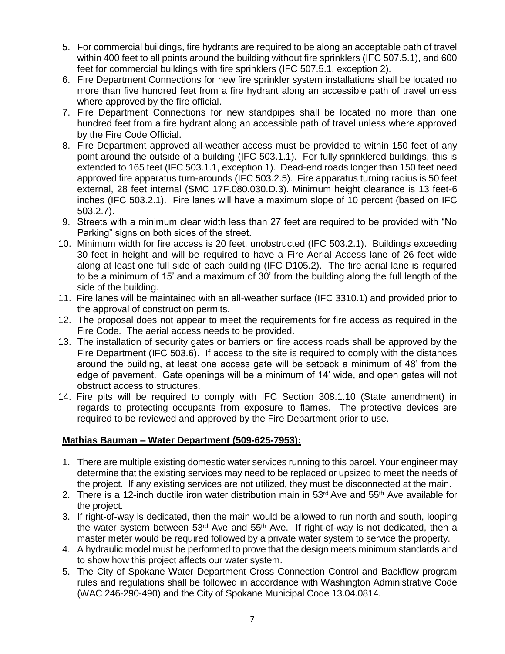- 5. For commercial buildings, fire hydrants are required to be along an acceptable path of travel within 400 feet to all points around the building without fire sprinklers (IFC 507.5.1), and 600 feet for commercial buildings with fire sprinklers (IFC 507.5.1, exception 2).
- 6. Fire Department Connections for new fire sprinkler system installations shall be located no more than five hundred feet from a fire hydrant along an accessible path of travel unless where approved by the fire official.
- 7. Fire Department Connections for new standpipes shall be located no more than one hundred feet from a fire hydrant along an accessible path of travel unless where approved by the Fire Code Official.
- 8. Fire Department approved all-weather access must be provided to within 150 feet of any point around the outside of a building (IFC 503.1.1). For fully sprinklered buildings, this is extended to 165 feet (IFC 503.1.1, exception 1). Dead-end roads longer than 150 feet need approved fire apparatus turn-arounds (IFC 503.2.5). Fire apparatus turning radius is 50 feet external, 28 feet internal (SMC 17F.080.030.D.3). Minimum height clearance is 13 feet-6 inches (IFC 503.2.1). Fire lanes will have a maximum slope of 10 percent (based on IFC 503.2.7).
- 9. Streets with a minimum clear width less than 27 feet are required to be provided with "No Parking" signs on both sides of the street.
- 10. Minimum width for fire access is 20 feet, unobstructed (IFC 503.2.1). Buildings exceeding 30 feet in height and will be required to have a Fire Aerial Access lane of 26 feet wide along at least one full side of each building (IFC D105.2). The fire aerial lane is required to be a minimum of 15' and a maximum of 30' from the building along the full length of the side of the building.
- 11. Fire lanes will be maintained with an all-weather surface (IFC 3310.1) and provided prior to the approval of construction permits.
- 12. The proposal does not appear to meet the requirements for fire access as required in the Fire Code. The aerial access needs to be provided.
- 13. The installation of security gates or barriers on fire access roads shall be approved by the Fire Department (IFC 503.6). If access to the site is required to comply with the distances around the building, at least one access gate will be setback a minimum of 48' from the edge of pavement. Gate openings will be a minimum of 14' wide, and open gates will not obstruct access to structures.
- 14. Fire pits will be required to comply with IFC Section 308.1.10 (State amendment) in regards to protecting occupants from exposure to flames. The protective devices are required to be reviewed and approved by the Fire Department prior to use.

# **Mathias Bauman – Water Department (509-625-7953):**

- 1. There are multiple existing domestic water services running to this parcel. Your engineer may determine that the existing services may need to be replaced or upsized to meet the needs of the project. If any existing services are not utilized, they must be disconnected at the main.
- 2. There is a 12-inch ductile iron water distribution main in  $53<sup>rd</sup>$  Ave and  $55<sup>th</sup>$  Ave available for the project.
- 3. If right-of-way is dedicated, then the main would be allowed to run north and south, looping the water system between 53<sup>rd</sup> Ave and 55<sup>th</sup> Ave. If right-of-way is not dedicated, then a master meter would be required followed by a private water system to service the property.
- 4. A hydraulic model must be performed to prove that the design meets minimum standards and to show how this project affects our water system.
- 5. The City of Spokane Water Department Cross Connection Control and Backflow program rules and regulations shall be followed in accordance with Washington Administrative Code (WAC 246-290-490) and the City of Spokane Municipal Code 13.04.0814.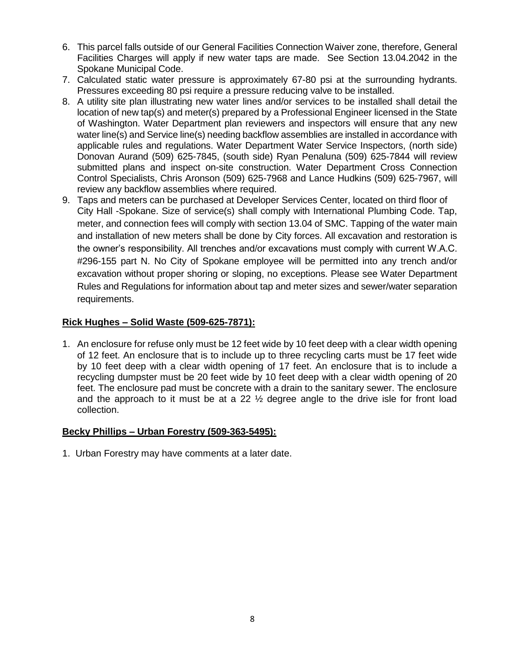- 6. This parcel falls outside of our General Facilities Connection Waiver zone, therefore, General Facilities Charges will apply if new water taps are made. See Section 13.04.2042 in the Spokane Municipal Code.
- 7. Calculated static water pressure is approximately 67-80 psi at the surrounding hydrants. Pressures exceeding 80 psi require a pressure reducing valve to be installed.
- 8. A utility site plan illustrating new water lines and/or services to be installed shall detail the location of new tap(s) and meter(s) prepared by a Professional Engineer licensed in the State of Washington. Water Department plan reviewers and inspectors will ensure that any new water line(s) and Service line(s) needing backflow assemblies are installed in accordance with applicable rules and regulations. Water Department Water Service Inspectors, (north side) Donovan Aurand (509) 625-7845, (south side) Ryan Penaluna (509) 625-7844 will review submitted plans and inspect on-site construction. Water Department Cross Connection Control Specialists, Chris Aronson (509) 625-7968 and Lance Hudkins (509) 625-7967, will review any backflow assemblies where required.
- 9. Taps and meters can be purchased at Developer Services Center, located on third floor of City Hall -Spokane. Size of service(s) shall comply with International Plumbing Code. Tap, meter, and connection fees will comply with section 13.04 of SMC. Tapping of the water main and installation of new meters shall be done by City forces. All excavation and restoration is the owner's responsibility. All trenches and/or excavations must comply with current W.A.C. #296-155 part N. No City of Spokane employee will be permitted into any trench and/or excavation without proper shoring or sloping, no exceptions. Please see Water Department Rules and Regulations for information about tap and meter sizes and sewer/water separation requirements.

# **Rick Hughes – Solid Waste (509-625-7871):**

1. An enclosure for refuse only must be 12 feet wide by 10 feet deep with a clear width opening of 12 feet. An enclosure that is to include up to three recycling carts must be 17 feet wide by 10 feet deep with a clear width opening of 17 feet. An enclosure that is to include a recycling dumpster must be 20 feet wide by 10 feet deep with a clear width opening of 20 feet. The enclosure pad must be concrete with a drain to the sanitary sewer. The enclosure and the approach to it must be at a 22  $\frac{1}{2}$  degree angle to the drive isle for front load collection.

#### **Becky Phillips – Urban Forestry (509-363-5495):**

1. Urban Forestry may have comments at a later date.